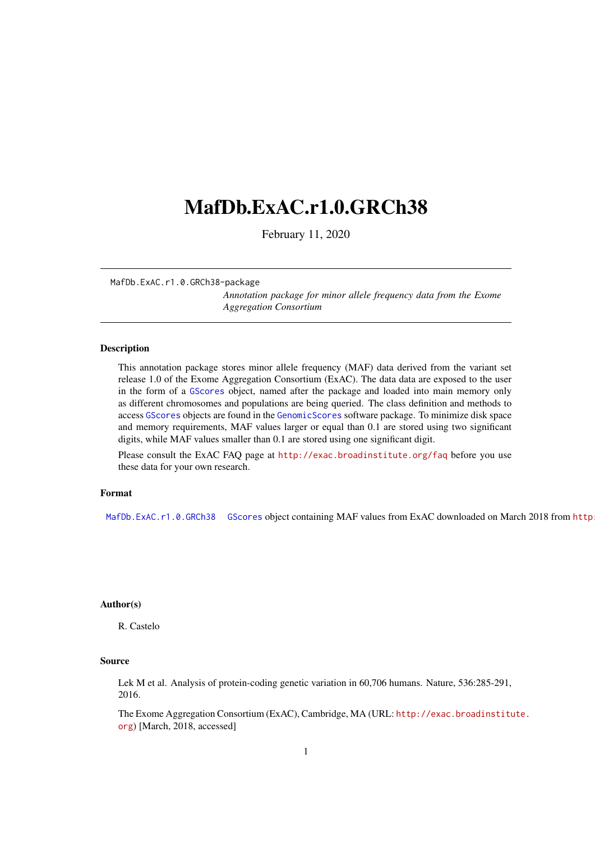# <span id="page-0-2"></span><span id="page-0-1"></span>MafDb.ExAC.r1.0.GRCh38

February 11, 2020

MafDb.ExAC.r1.0.GRCh38-package

*Annotation package for minor allele frequency data from the Exome Aggregation Consortium*

# <span id="page-0-0"></span>Description

This annotation package stores minor allele frequency (MAF) data derived from the variant set release 1.0 of the Exome Aggregation Consortium (ExAC). The data data are exposed to the user in the form of a GScores object, named after the package and loaded into main memory only as different chromosomes and populations are being queried. The class definition and methods to access GScores objects are found in the GenomicScores software package. To minimize disk space and memory requirements, MAF values larger or equal than 0.1 are stored using two significant digits, while MAF values smaller than 0.1 are stored using one significant digit.

Please consult the ExAC FAQ page at <http://exac.broadinstitute.org/faq> before you use these data for your own research.

### Format

MafDb. ExAC. r1.0. GRCh38 GScores object containing MAF values from ExAC downloaded on March 2018 from http

#### Author(s)

R. Castelo

# Source

Lek M et al. Analysis of protein-coding genetic variation in 60,706 humans. Nature, 536:285-291, 2016.

The Exome Aggregation Consortium (ExAC), Cambridge, MA (URL: [http://exac.broadinstitu](http://exac.broadinstitute.org)te. [org](http://exac.broadinstitute.org)) [March, 2018, accessed]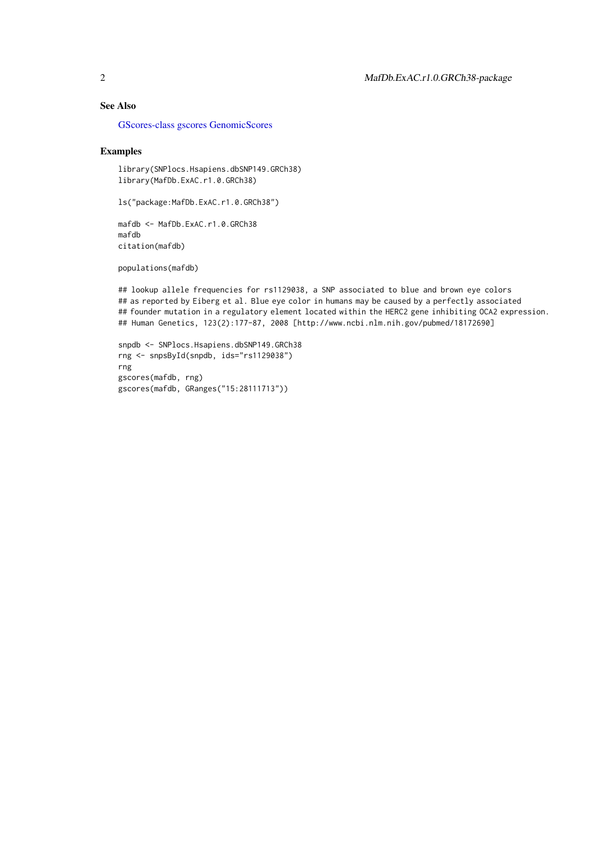# See Also

[GScores-class](#page-0-1) [gscores](#page-0-1) [GenomicScores](#page-0-1)

# Examples

library(SNPlocs.Hsapiens.dbSNP149.GRCh38) library(MafDb.ExAC.r1.0.GRCh38)

ls("package:MafDb.ExAC.r1.0.GRCh38")

mafdb <- MafDb.ExAC.r1.0.GRCh38 mafdb citation(mafdb)

populations(mafdb)

## lookup allele frequencies for rs1129038, a SNP associated to blue and brown eye colors ## as reported by Eiberg et al. Blue eye color in humans may be caused by a perfectly associated ## founder mutation in a regulatory element located within the HERC2 gene inhibiting OCA2 expression. ## Human Genetics, 123(2):177-87, 2008 [http://www.ncbi.nlm.nih.gov/pubmed/18172690]

```
snpdb <- SNPlocs.Hsapiens.dbSNP149.GRCh38
rng <- snpsById(snpdb, ids="rs1129038")
rng
gscores(mafdb, rng)
gscores(mafdb, GRanges("15:28111713"))
```
<span id="page-1-0"></span>